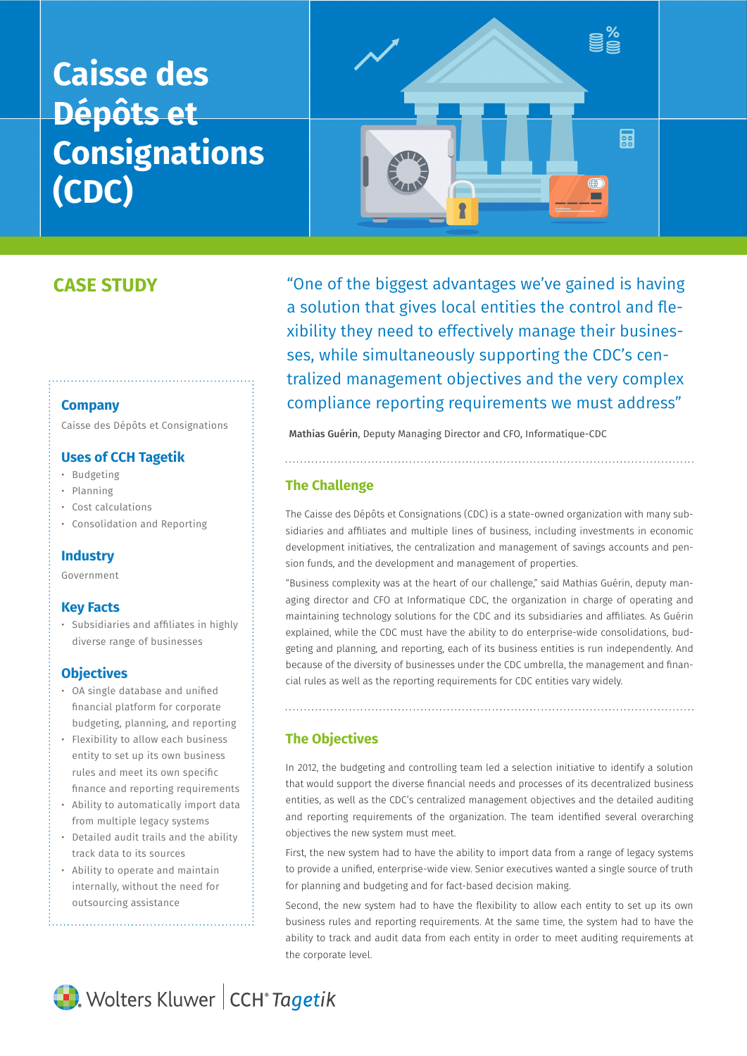# **Caisse des Dépôts et Consignations (CDC)**



# **CASE STUDY**

#### **Company**

Caisse des Dépôts et Consignations

## **Uses of CCH Tagetik**

- Budgeting
- Planning
- Cost calculations
- Consolidation and Reporting

## **Industry**

Government

# **Key Facts**

• Subsidiaries and affiliates in highly diverse range of businesses

# **Objectives**

- OA single database and unified financial platform for corporate budgeting, planning, and reporting
- Flexibility to allow each business entity to set up its own business rules and meet its own specific finance and reporting requirements
- Ability to automatically import data from multiple legacy systems
- Detailed audit trails and the ability track data to its sources
- Ability to operate and maintain internally, without the need for outsourcing assistance

"One of the biggest advantages we've gained is having a solution that gives local entities the control and flexibility they need to effectively manage their businesses, while simultaneously supporting the CDC's centralized management objectives and the very complex compliance reporting requirements we must address"

Mathias Guérin, Deputy Managing Director and CFO, Informatique-CDC

## **The Challenge**

The Caisse des Dépôts et Consignations (CDC) is a state-owned organization with many subsidiaries and affiliates and multiple lines of business, including investments in economic development initiatives, the centralization and management of savings accounts and pension funds, and the development and management of properties.

"Business complexity was at the heart of our challenge," said Mathias Guérin, deputy managing director and CFO at Informatique CDC, the organization in charge of operating and maintaining technology solutions for the CDC and its subsidiaries and affiliates. As Guérin explained, while the CDC must have the ability to do enterprise-wide consolidations, budgeting and planning, and reporting, each of its business entities is run independently. And because of the diversity of businesses under the CDC umbrella, the management and financial rules as well as the reporting requirements for CDC entities vary widely.

## **The Objectives**

In 2012, the budgeting and controlling team led a selection initiative to identify a solution that would support the diverse financial needs and processes of its decentralized business entities, as well as the CDC's centralized management objectives and the detailed auditing and reporting requirements of the organization. The team identified several overarching objectives the new system must meet.

First, the new system had to have the ability to import data from a range of legacy systems to provide a unified, enterprise-wide view. Senior executives wanted a single source of truth for planning and budgeting and for fact-based decision making.

Second, the new system had to have the flexibility to allow each entity to set up its own business rules and reporting requirements. At the same time, the system had to have the ability to track and audit data from each entity in order to meet auditing requirements at the corporate level.

Wolters Kluwer | CCH<sup>®</sup> Tagetik